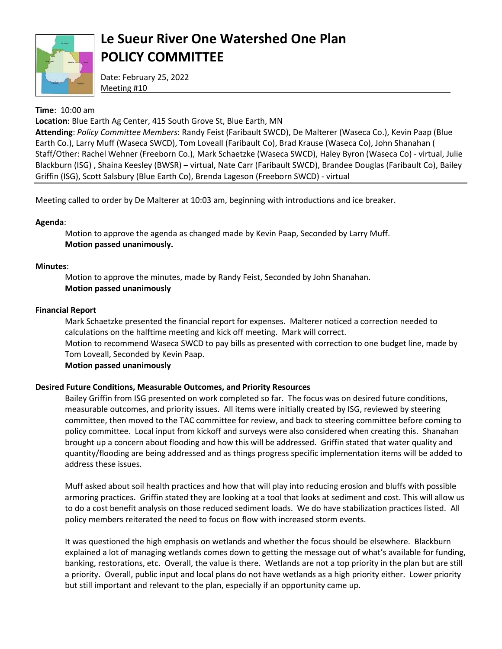

# **Le Sueur River One Watershed One Plan POLICY COMMITTEE**

Date: February 25, 2022 Meeting #10

## **Time**: 10:00 am

**Location**: Blue Earth Ag Center, 415 South Grove St, Blue Earth, MN

**Attending**: *Policy Committee Members*: Randy Feist (Faribault SWCD), De Malterer (Waseca Co.), Kevin Paap (Blue Earth Co.), Larry Muff (Waseca SWCD), Tom Loveall (Faribault Co), Brad Krause (Waseca Co), John Shanahan ( Staff/Other: Rachel Wehner (Freeborn Co.), Mark Schaetzke (Waseca SWCD), Haley Byron (Waseca Co) - virtual, Julie Blackburn (ISG) , Shaina Keesley (BWSR) – virtual, Nate Carr (Faribault SWCD), Brandee Douglas (Faribault Co), Bailey Griffin (ISG), Scott Salsbury (Blue Earth Co), Brenda Lageson (Freeborn SWCD) - virtual

Meeting called to order by De Malterer at 10:03 am, beginning with introductions and ice breaker.

### **Agenda**:

Motion to approve the agenda as changed made by Kevin Paap, Seconded by Larry Muff. **Motion passed unanimously.**

### **Minutes**:

Motion to approve the minutes, made by Randy Feist, Seconded by John Shanahan. **Motion passed unanimously**

### **Financial Report**

Mark Schaetzke presented the financial report for expenses. Malterer noticed a correction needed to calculations on the halftime meeting and kick off meeting. Mark will correct. Motion to recommend Waseca SWCD to pay bills as presented with correction to one budget line, made by Tom Loveall, Seconded by Kevin Paap. **Motion passed unanimously**

### **Desired Future Conditions, Measurable Outcomes, and Priority Resources**

Bailey Griffin from ISG presented on work completed so far. The focus was on desired future conditions, measurable outcomes, and priority issues. All items were initially created by ISG, reviewed by steering committee, then moved to the TAC committee for review, and back to steering committee before coming to policy committee. Local input from kickoff and surveys were also considered when creating this. Shanahan brought up a concern about flooding and how this will be addressed. Griffin stated that water quality and quantity/flooding are being addressed and as things progress specific implementation items will be added to address these issues.

Muff asked about soil health practices and how that will play into reducing erosion and bluffs with possible armoring practices. Griffin stated they are looking at a tool that looks at sediment and cost. This will allow us to do a cost benefit analysis on those reduced sediment loads. We do have stabilization practices listed. All policy members reiterated the need to focus on flow with increased storm events.

It was questioned the high emphasis on wetlands and whether the focus should be elsewhere. Blackburn explained a lot of managing wetlands comes down to getting the message out of what's available for funding, banking, restorations, etc. Overall, the value is there. Wetlands are not a top priority in the plan but are still a priority. Overall, public input and local plans do not have wetlands as a high priority either. Lower priority but still important and relevant to the plan, especially if an opportunity came up.